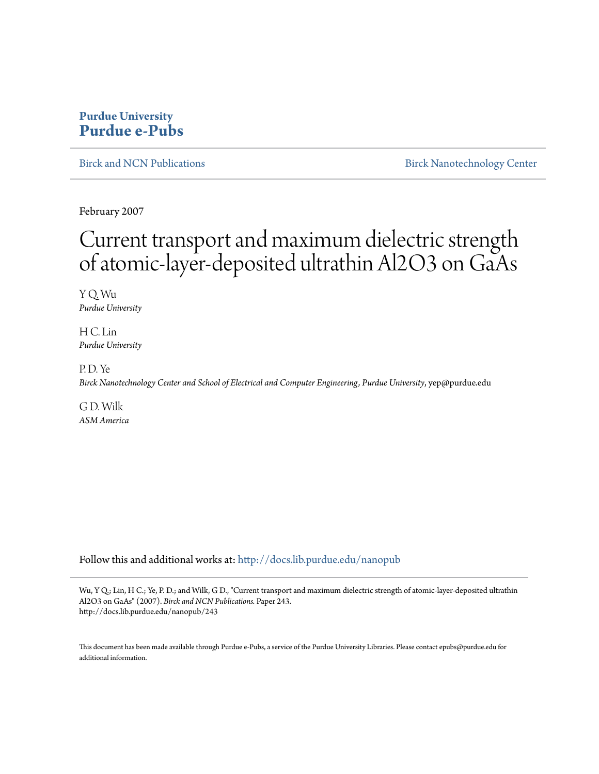## **Purdue University [Purdue e-Pubs](http://docs.lib.purdue.edu?utm_source=docs.lib.purdue.edu%2Fnanopub%2F243&utm_medium=PDF&utm_campaign=PDFCoverPages)**

[Birck and NCN Publications](http://docs.lib.purdue.edu/nanopub?utm_source=docs.lib.purdue.edu%2Fnanopub%2F243&utm_medium=PDF&utm_campaign=PDFCoverPages) **[Birck Nanotechnology Center](http://docs.lib.purdue.edu/nano?utm_source=docs.lib.purdue.edu%2Fnanopub%2F243&utm_medium=PDF&utm_campaign=PDFCoverPages)** 

February 2007

## Current transport and maximum dielectric strength of atomic-layer-deposited ultrathin Al2O3 on GaAs

Y Q. Wu *Purdue University*

H C. Lin *Purdue University*

P. D. Ye *Birck Nanotechnology Center and School of Electrical and Computer Engineering, Purdue University*, yep@purdue.edu

G D. Wilk *ASM America*

Follow this and additional works at: [http://docs.lib.purdue.edu/nanopub](http://docs.lib.purdue.edu/nanopub?utm_source=docs.lib.purdue.edu%2Fnanopub%2F243&utm_medium=PDF&utm_campaign=PDFCoverPages)

Wu, Y Q.; Lin, H C.; Ye, P. D.; and Wilk, G D., "Current transport and maximum dielectric strength of atomic-layer-deposited ultrathin Al2O3 on GaAs" (2007). *Birck and NCN Publications.* Paper 243. http://docs.lib.purdue.edu/nanopub/243

This document has been made available through Purdue e-Pubs, a service of the Purdue University Libraries. Please contact epubs@purdue.edu for additional information.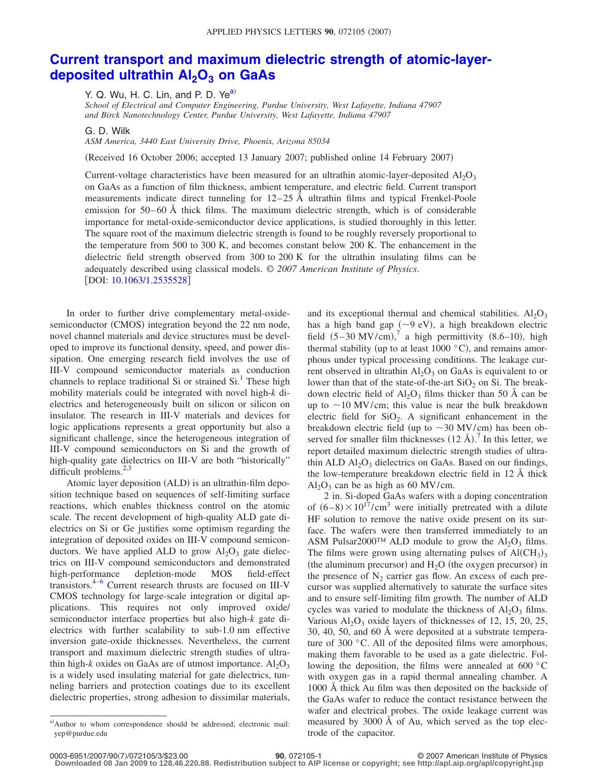## **[Current transport and maximum dielectric strength of atomic-layer](http://dx.doi.org/10.1063/1.2535528)deposited ultrathin Al<sub>2</sub>O<sub>3</sub> on GaAs**

Y. Q. Wu, H. C. Lin, and P. D. Ye<sup>a)</sup>

*School of Electrical and Computer Engineering, Purdue University, West Lafayette, Indiana 47907 and Birck Nanotechnology Center, Purdue University, West Lafayette, Indiana 47907*

G. D. Wilk

*ASM America, 3440 East University Drive, Phoenix, Arizona 85034*

(Received 16 October 2006; accepted 13 January 2007; published online 14 February 2007)

Current-voltage characteristics have been measured for an ultrathin atomic-layer-deposited  $A I_2 O_3$ on GaAs as a function of film thickness, ambient temperature, and electric field. Current transport measurements indicate direct tunneling for  $12-25$  Å ultrathin films and typical Frenkel-Poole emission for  $50-60$  Å thick films. The maximum dielectric strength, which is of considerable importance for metal-oxide-semiconductor device applications, is studied thoroughly in this letter. The square root of the maximum dielectric strength is found to be roughly reversely proportional to the temperature from 500 to 300 K, and becomes constant below 200 K. The enhancement in the dielectric field strength observed from 300 to 200 K for the ultrathin insulating films can be adequately described using classical models. © *2007 American Institute of Physics*. [DOI: [10.1063/1.2535528](http://dx.doi.org/10.1063/1.2535528)]

In order to further drive complementary metal-oxidesemiconductor (CMOS) integration beyond the 22 nm node, novel channel materials and device structures must be developed to improve its functional density, speed, and power dissipation. One emerging research field involves the use of III-V compound semiconductor materials as conduction channels to replace traditional Si or strained  $Si<sup>1</sup>$  These high mobility materials could be integrated with novel high-*k* dielectrics and heterogeneously built on silicon or silicon on insulator. The research in III-V materials and devices for logic applications represents a great opportunity but also a significant challenge, since the heterogeneous integration of III-V compound semiconductors on Si and the growth of high-quality gate dielectrics on III-V are both "historically" difficult problems. $^{2,3}$ 

Atomic layer deposition (ALD) is an ultrathin-film deposition technique based on sequences of self-limiting surface reactions, which enables thickness control on the atomic scale. The recent development of high-quality ALD gate dielectrics on Si or Ge justifies some optimism regarding the integration of deposited oxides on III-V compound semiconductors. We have applied ALD to grow  $Al_2O_3$  gate dielectrics on III-V compound semiconductors and demonstrated high-performance depletion-mode MOS field-effect transistors. $4-6$  Current research thrusts are focused on III-V CMOS technology for large-scale integration or digital applications. This requires not only improved oxide/ semiconductor interface properties but also high-*k* gate dielectrics with further scalability to sub-1.0 nm effective inversion gate-oxide thicknesses. Nevertheless, the current transport and maximum dielectric strength studies of ultrathin high- $k$  oxides on GaAs are of utmost importance.  $Al_2O_3$ is a widely used insulating material for gate dielectrics, tunneling barriers and protection coatings due to its excellent dielectric properties, strong adhesion to dissimilar materials,

and its exceptional thermal and chemical stabilities.  $Al_2O_3$ has a high band gap  $(\sim 9 \text{ eV})$ , a high breakdown electric field  $(5-30 \text{ MV/cm})$ , a high permittivity  $(8.6-10)$ , high thermal stability (up to at least  $1000 °C$ ), and remains amorphous under typical processing conditions. The leakage current observed in ultrathin  $Al_2O_3$  on GaAs is equivalent to or lower than that of the state-of-the-art  $SiO<sub>2</sub>$  on Si. The breakdown electric field of  $Al_2O_3$  films thicker than 50 Å can be up to  $\sim$  10 MV/cm; this value is near the bulk breakdown electric field for  $SiO<sub>2</sub>$ . A significant enhancement in the breakdown electric field (up to  $\sim$  30 MV/cm) has been observed for smaller film thicknesses  $(12 \text{ Å})$ .<sup>7</sup> In this letter, we report detailed maximum dielectric strength studies of ultrathin ALD  $Al_2O_3$  dielectrics on GaAs. Based on our findings, the low-temperature breakdown electric field in 12 Å thick  $Al_2O_3$  can be as high as 60 MV/cm.

2 in. Si-doped GaAs wafers with a doping concentration of  $(6-8) \times 10^{17}$ /cm<sup>3</sup> were initially pretreated with a dilute HF solution to remove the native oxide present on its surface. The wafers were then transferred immediately to an ASM Pulsar2000<sup>TM</sup> ALD module to grow the  $Al_2O_3$  films. The films were grown using alternating pulses of  $\text{Al}(\text{CH}_3)_3$ (the aluminum precursor) and  $H_2O$  (the oxygen precursor) in the presence of  $N_2$  carrier gas flow. An excess of each precursor was supplied alternatively to saturate the surface sites and to ensure self-limiting film growth. The number of ALD cycles was varied to modulate the thickness of  $Al_2O_3$  films. Various  $Al_2O_3$  oxide layers of thicknesses of 12, 15, 20, 25, 30, 40, 50, and 60 Å were deposited at a substrate temperature of 300 °C. All of the deposited films were amorphous, making them favorable to be used as a gate dielectric. Following the deposition, the films were annealed at 600 °C with oxygen gas in a rapid thermal annealing chamber. A 1000 Å thick Au film was then deposited on the backside of the GaAs wafer to reduce the contact resistance between the wafer and electrical probes. The oxide leakage current was measured by 3000 Å of Au, which served as the top electrode of the capacitor.

a) Author to whom correspondence should be addressed; electronic mail: yep@purdue.edu

**<sup>90</sup>**, 072105-1 © 2007 American Institute of Physics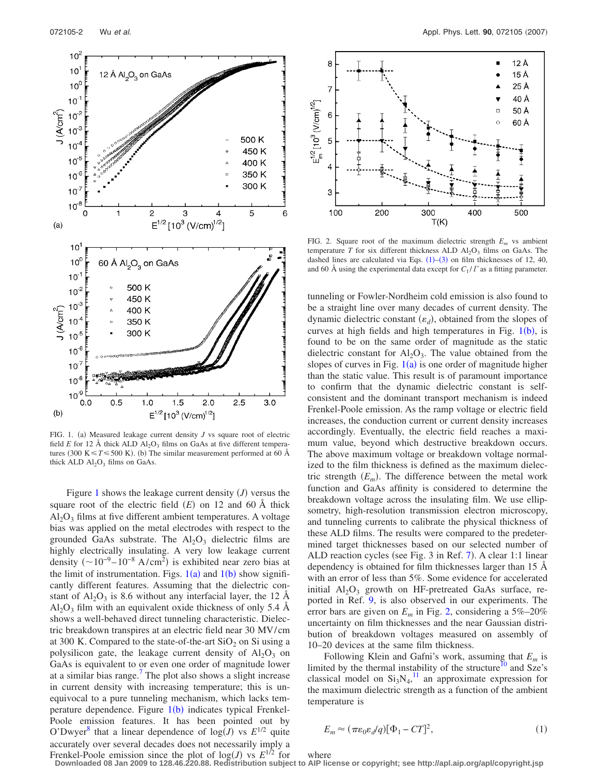

FIG. 1. (a) Measured leakage current density  $J$  vs square root of electric field *E* for 12 Å thick ALD  $AI_2O_3$  films on GaAs at five different temperatures (300 K $\leq T \leq 500$  K). (b) The similar measurement performed at 60 Å thick ALD  $Al_2O_3$  films on GaAs.

Figure 1 shows the leakage current density  $(J)$  versus the square root of the electric field  $(E)$  on 12 and 60 Å thick  $Al_2O_3$  films at five different ambient temperatures. A voltage bias was applied on the metal electrodes with respect to the grounded GaAs substrate. The  $Al_2O_3$  dielectric films are highly electrically insulating. A very low leakage current density  $({\sim}10^{-9} - 10^{-8} \text{ A/cm}^2)$  is exhibited near zero bias at the limit of instrumentation. Figs.  $1(a)$  and  $1(b)$  show significantly different features. Assuming that the dielectric constant of  $Al_2O_3$  is 8.6 without any interfacial layer, the 12 Å  $Al_2O_3$  film with an equivalent oxide thickness of only 5.4 Å shows a well-behaved direct tunneling characteristic. Dielectric breakdown transpires at an electric field near 30 MV/cm at 300 K. Compared to the state-of-the-art  $SiO<sub>2</sub>$  on Si using a polysilicon gate, the leakage current density of  $Al_2O_3$  on GaAs is equivalent to or even one order of magnitude lower at a similar bias range.<sup>7</sup> The plot also shows a slight increase in current density with increasing temperature; this is unequivocal to a pure tunneling mechanism, which lacks temperature dependence. Figure 1(b) indicates typical Frenkel-Poole emission features. It has been pointed out by O'Dwyer<sup>8</sup> that a linear dependence of  $log(J)$  vs  $E^{1/2}$  quite accurately over several decades does not necessarily imply a



FIG. 2. Square root of the maximum dielectric strength  $E_m$  vs ambient temperature *T* for six different thickness ALD  $AI_2O_3$  films on GaAs. The dashed lines are calculated via Eqs.  $(1)$ – $(3)$  on film thicknesses of 12, 40, and 60 Å using the experimental data except for  $C_1 / \Gamma$  as a fitting parameter.

tunneling or Fowler-Nordheim cold emission is also found to be a straight line over many decades of current density. The dynamic dielectric constant  $(\varepsilon_d)$ , obtained from the slopes of curves at high fields and high temperatures in Fig.  $1(b)$ , is found to be on the same order of magnitude as the static dielectric constant for  $Al_2O_3$ . The value obtained from the slopes of curves in Fig.  $1(a)$  is one order of magnitude higher than the static value. This result is of paramount importance to confirm that the dynamic dielectric constant is selfconsistent and the dominant transport mechanism is indeed Frenkel-Poole emission. As the ramp voltage or electric field increases, the conduction current or current density increases accordingly. Eventually, the electric field reaches a maximum value, beyond which destructive breakdown occurs. The above maximum voltage or breakdown voltage normalized to the film thickness is defined as the maximum dielectric strength  $(E_m)$ . The difference between the metal work function and GaAs affinity is considered to determine the breakdown voltage across the insulating film. We use ellipsometry, high-resolution transmission electron microscopy, and tunneling currents to calibrate the physical thickness of these ALD films. The results were compared to the predetermined target thicknesses based on our selected number of ALD reaction cycles (see Fig. 3 in Ref. 7). A clear 1:1 linear dependency is obtained for film thicknesses larger than 15 Å with an error of less than 5%. Some evidence for accelerated initial  $Al_2O_3$  growth on HF-pretreated GaAs surface, reported in Ref. 9, is also observed in our experiments. The error bars are given on  $E_m$  in Fig. 2, considering a  $5\% - 20\%$ uncertainty on film thicknesses and the near Gaussian distribution of breakdown voltages measured on assembly of 10–20 devices at the same film thickness.

Following Klein and Gafni's work, assuming that *Em* is limited by the thermal instability of the structure $10$  and Sze's classical model on  $Si<sub>3</sub>N<sub>4</sub>$ ,<sup>11</sup> an approximate expression for the maximum dielectric strength as a function of the ambient temperature is

$$
E_m \approx (\pi \varepsilon_0 \varepsilon_d / q) [\Phi_1 - CT]^2, \tag{1}
$$